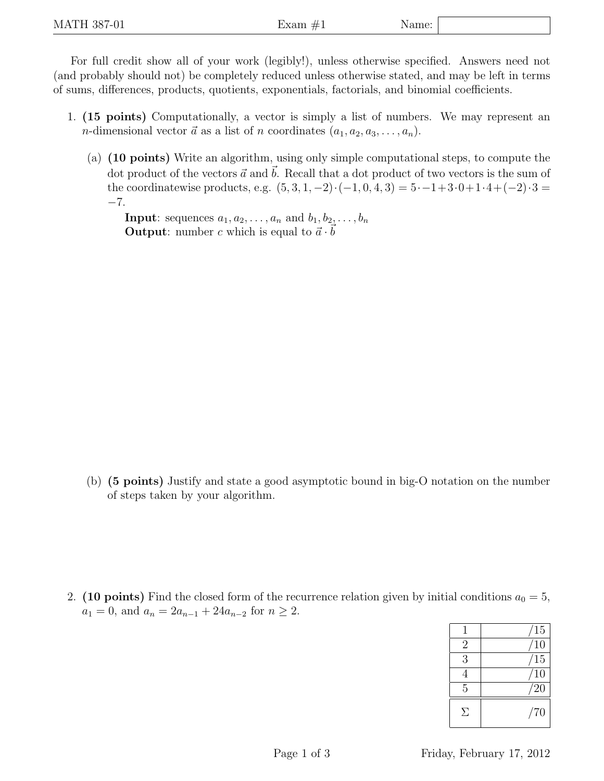For full credit show all of your work (legibly!), unless otherwise specified. Answers need not (and probably should not) be completely reduced unless otherwise stated, and may be left in terms of sums, differences, products, quotients, exponentials, factorials, and binomial coefficients.

- 1. (15 points) Computationally, a vector is simply a list of numbers. We may represent an *n*-dimensional vector  $\vec{a}$  as a list of *n* coordinates  $(a_1, a_2, a_3, \ldots, a_n)$ .
	- (a) (10 points) Write an algorithm, using only simple computational steps, to compute the dot product of the vectors  $\vec{a}$  and  $\vec{b}$ . Recall that a dot product of two vectors is the sum of the coordinatewise products, e.g.  $(5, 3, 1, -2) \cdot (-1, 0, 4, 3) = 5 \cdot -1 + 3 \cdot 0 + 1 \cdot 4 + (-2) \cdot 3 =$ −7.

**Input**: sequences  $a_1, a_2, \ldots, a_n$  and  $b_1, b_2, \ldots, b_n$ **Output:** number c which is equal to  $\vec{a} \cdot \vec{b}$ 

(b) (5 points) Justify and state a good asymptotic bound in big-O notation on the number of steps taken by your algorithm.

2. (10 points) Find the closed form of the recurrence relation given by initial conditions  $a_0 = 5$ ,  $a_1 = 0$ , and  $a_n = 2a_{n-1} + 24a_{n-2}$  for  $n \ge 2$ .

|                | 15          |
|----------------|-------------|
| $\overline{2}$ | 10          |
| 3              | 15          |
| 4              | 10          |
| 5              | $\sqrt{20}$ |
| Я              | /70         |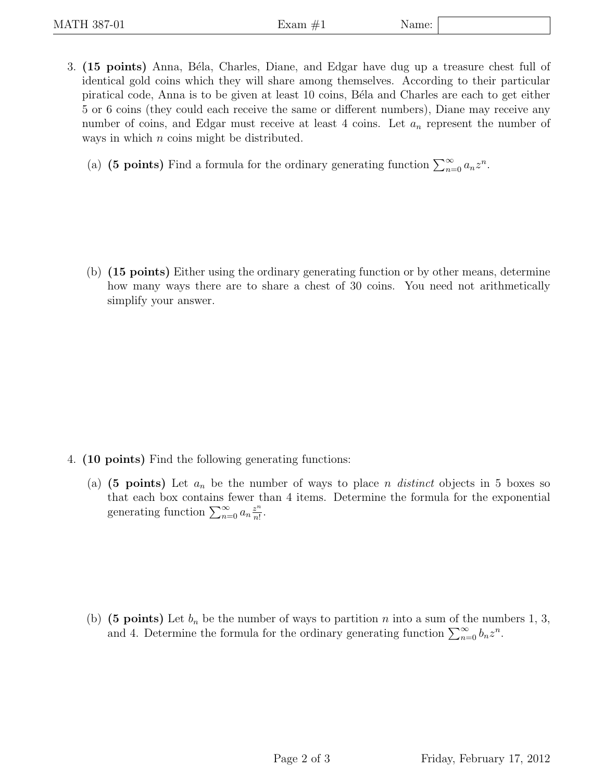3. (15 points) Anna, Béla, Charles, Diane, and Edgar have dug up a treasure chest full of identical gold coins which they will share among themselves. According to their particular piratical code, Anna is to be given at least 10 coins, B´ela and Charles are each to get either 5 or 6 coins (they could each receive the same or different numbers), Diane may receive any number of coins, and Edgar must receive at least 4 coins. Let  $a_n$  represent the number of ways in which  $n$  coins might be distributed.

(a) (5 points) Find a formula for the ordinary generating function  $\sum_{n=0}^{\infty} a_n z^n$ .

(b) (15 points) Either using the ordinary generating function or by other means, determine how many ways there are to share a chest of 30 coins. You need not arithmetically simplify your answer.

- 4. (10 points) Find the following generating functions:
	- (a) (5 points) Let  $a_n$  be the number of ways to place n *distinct* objects in 5 boxes so that each box contains fewer than 4 items. Determine the formula for the exponential generating function  $\sum_{n=0}^{\infty} a_n \frac{z^n}{n!}$  $\frac{z^n}{n!}$ .

(b) (5 points) Let  $b_n$  be the number of ways to partition n into a sum of the numbers 1, 3, and 4. Determine the formula for the ordinary generating function  $\sum_{n=0}^{\infty} b_n z^n$ .